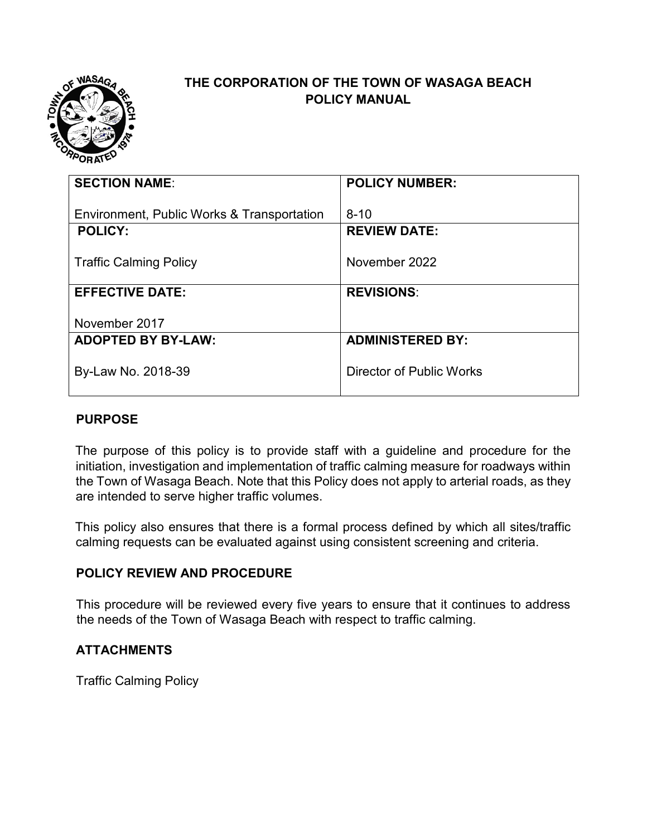

#### **THE CORPORATION OF THE TOWN OF WASAGA BEACH POLICY MANUAL**

| <b>SECTION NAME:</b>                       | <b>POLICY NUMBER:</b>    |
|--------------------------------------------|--------------------------|
|                                            |                          |
| Environment, Public Works & Transportation | $8 - 10$                 |
| <b>POLICY:</b>                             | <b>REVIEW DATE:</b>      |
|                                            |                          |
| <b>Traffic Calming Policy</b>              | November 2022            |
|                                            |                          |
| <b>EFFECTIVE DATE:</b>                     | <b>REVISIONS:</b>        |
|                                            |                          |
| November 2017                              |                          |
|                                            |                          |
| <b>ADOPTED BY BY-LAW:</b>                  | <b>ADMINISTERED BY:</b>  |
|                                            |                          |
| By-Law No. 2018-39                         | Director of Public Works |
|                                            |                          |
|                                            |                          |

#### **PURPOSE**

The purpose of this policy is to provide staff with a guideline and procedure for the initiation, investigation and implementation of traffic calming measure for roadways within the Town of Wasaga Beach. Note that this Policy does not apply to arterial roads, as they are intended to serve higher traffic volumes.

This policy also ensures that there is a formal process defined by which all sites/traffic calming requests can be evaluated against using consistent screening and criteria.

#### **POLICY REVIEW AND PROCEDURE**

This procedure will be reviewed every five years to ensure that it continues to address the needs of the Town of Wasaga Beach with respect to traffic calming.

#### **ATTACHMENTS**

Traffic Calming Policy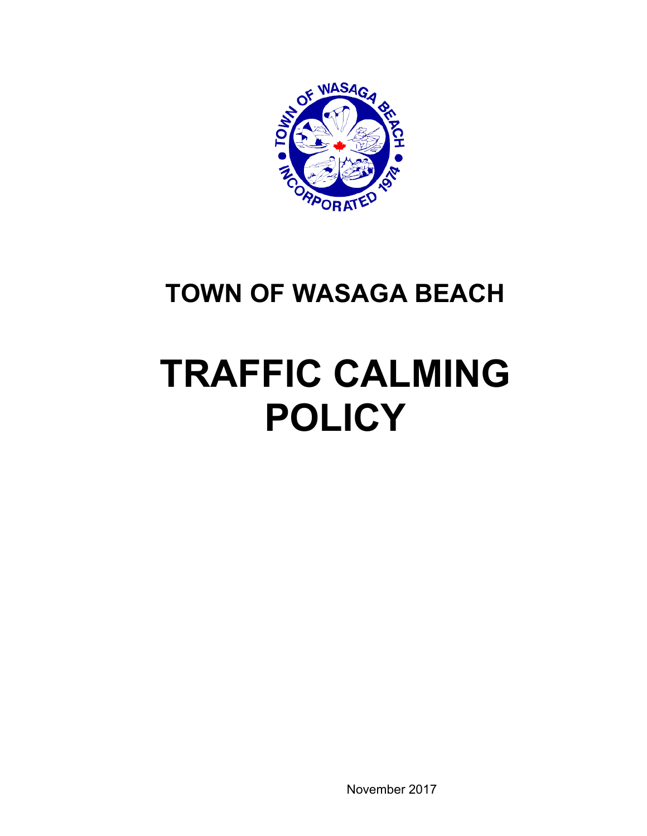

## **TOWN OF WASAGA BEACH**

# **TRAFFIC CALMING POLICY**

November 2017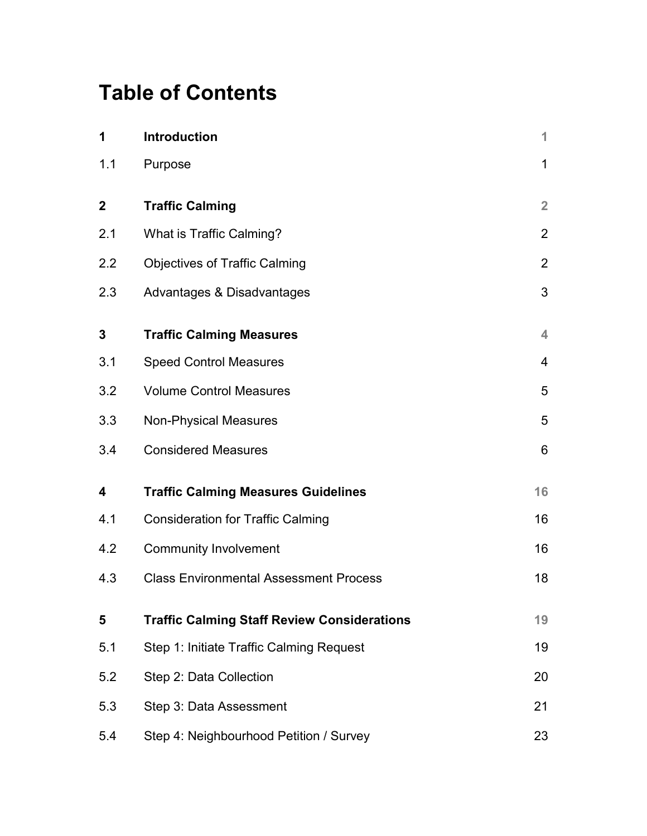## **Table of Contents**

| 1                | <b>Introduction</b>                                | 1              |
|------------------|----------------------------------------------------|----------------|
| 1.1              | Purpose                                            | $\mathbf 1$    |
| $\boldsymbol{2}$ | <b>Traffic Calming</b>                             | $\overline{2}$ |
| 2.1              | What is Traffic Calming?                           | $\overline{2}$ |
| 2.2              | <b>Objectives of Traffic Calming</b>               | $\overline{2}$ |
| 2.3              | Advantages & Disadvantages                         | 3              |
| 3                | <b>Traffic Calming Measures</b>                    | 4              |
| 3.1              | <b>Speed Control Measures</b>                      | $\overline{4}$ |
| 3.2              | <b>Volume Control Measures</b>                     | 5              |
| 3.3              | <b>Non-Physical Measures</b>                       | 5              |
| 3.4              | <b>Considered Measures</b>                         | 6              |
| 4                | <b>Traffic Calming Measures Guidelines</b>         | 16             |
| 4.1              | <b>Consideration for Traffic Calming</b>           | 16             |
| 4.2              | <b>Community Involvement</b>                       | 16             |
| 4.3              | <b>Class Environmental Assessment Process</b>      | 18             |
| 5                | <b>Traffic Calming Staff Review Considerations</b> | 19             |
| 5.1              | Step 1: Initiate Traffic Calming Request           | 19             |
| 5.2              | Step 2: Data Collection                            | 20             |
| 5.3              | Step 3: Data Assessment                            | 21             |
| 5.4              | Step 4: Neighbourhood Petition / Survey            | 23             |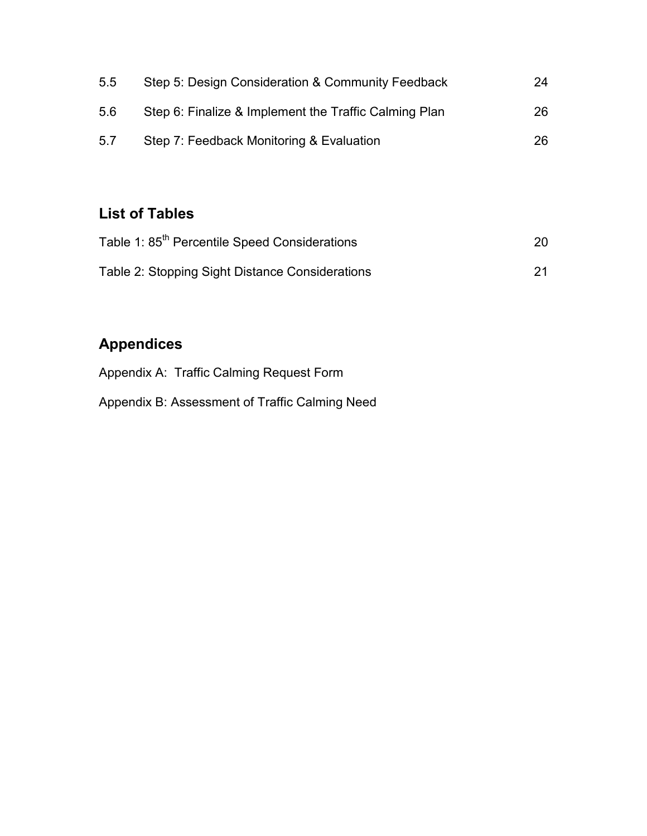| 5.5 | Step 5: Design Consideration & Community Feedback     | 24 |
|-----|-------------------------------------------------------|----|
| 5.6 | Step 6: Finalize & Implement the Traffic Calming Plan | 26 |
| 5.7 | Step 7: Feedback Monitoring & Evaluation              | 26 |

### **List of Tables**

| Table 1: 85 <sup>th</sup> Percentile Speed Considerations |    |  |  |
|-----------------------------------------------------------|----|--|--|
| Table 2: Stopping Sight Distance Considerations           | 21 |  |  |

### **Appendices**

[Appendix A:](#page-31-0) Traffic Calming Request Form

Appendix B: Assessment of Traffic Calming Need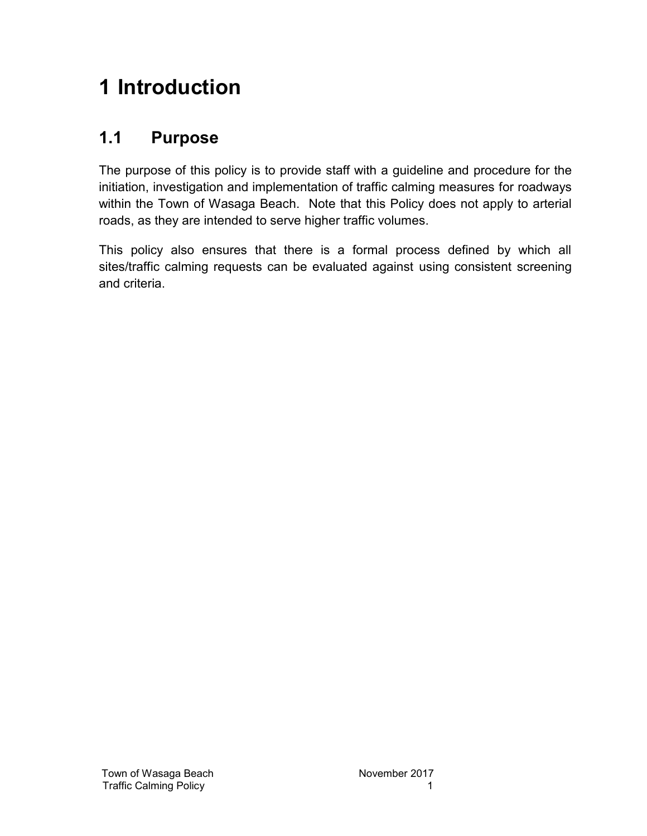## **1 Introduction**

### **1.1 Purpose**

The purpose of this policy is to provide staff with a guideline and procedure for the initiation, investigation and implementation of traffic calming measures for roadways within the Town of Wasaga Beach. Note that this Policy does not apply to arterial roads, as they are intended to serve higher traffic volumes.

This policy also ensures that there is a formal process defined by which all sites/traffic calming requests can be evaluated against using consistent screening and criteria.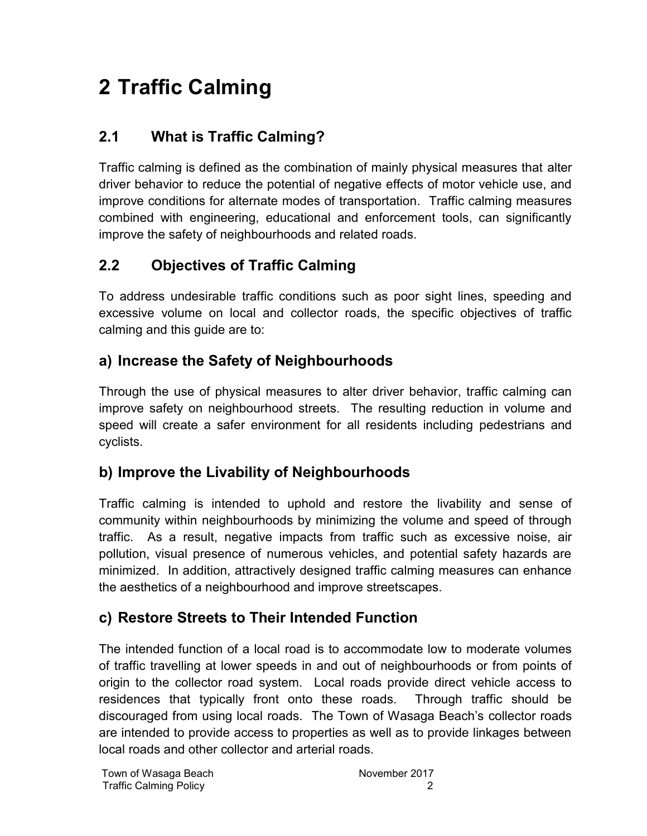## **2 Traffic Calming**

### **2.1 What is Traffic Calming?**

Traffic calming is defined as the combination of mainly physical measures that alter driver behavior to reduce the potential of negative effects of motor vehicle use, and improve conditions for alternate modes of transportation. Traffic calming measures combined with engineering, educational and enforcement tools, can significantly improve the safety of neighbourhoods and related roads.

### **2.2 Objectives of Traffic Calming**

To address undesirable traffic conditions such as poor sight lines, speeding and excessive volume on local and collector roads, the specific objectives of traffic calming and this guide are to:

### **a) Increase the Safety of Neighbourhoods**

Through the use of physical measures to alter driver behavior, traffic calming can improve safety on neighbourhood streets. The resulting reduction in volume and speed will create a safer environment for all residents including pedestrians and cyclists.

### **b) Improve the Livability of Neighbourhoods**

Traffic calming is intended to uphold and restore the livability and sense of community within neighbourhoods by minimizing the volume and speed of through traffic. As a result, negative impacts from traffic such as excessive noise, air pollution, visual presence of numerous vehicles, and potential safety hazards are minimized. In addition, attractively designed traffic calming measures can enhance the aesthetics of a neighbourhood and improve streetscapes.

### **c) Restore Streets to Their Intended Function**

The intended function of a local road is to accommodate low to moderate volumes of traffic travelling at lower speeds in and out of neighbourhoods or from points of origin to the collector road system. Local roads provide direct vehicle access to residences that typically front onto these roads. Through traffic should be discouraged from using local roads. The Town of Wasaga Beach's collector roads are intended to provide access to properties as well as to provide linkages between local roads and other collector and arterial roads.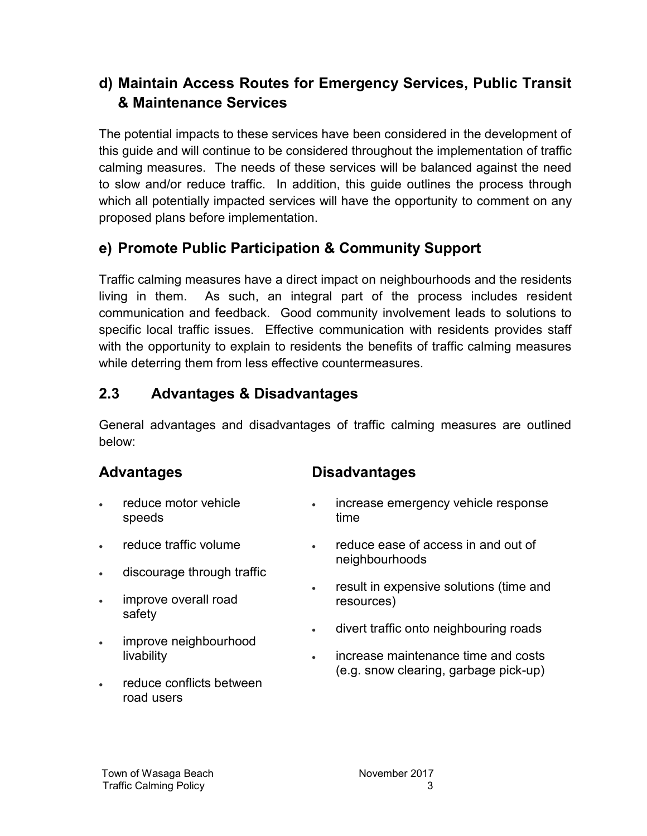### **d) Maintain Access Routes for Emergency Services, Public Transit & Maintenance Services**

The potential impacts to these services have been considered in the development of this guide and will continue to be considered throughout the implementation of traffic calming measures. The needs of these services will be balanced against the need to slow and/or reduce traffic. In addition, this guide outlines the process through which all potentially impacted services will have the opportunity to comment on any proposed plans before implementation.

### **e) Promote Public Participation & Community Support**

Traffic calming measures have a direct impact on neighbourhoods and the residents living in them. As such, an integral part of the process includes resident communication and feedback. Good community involvement leads to solutions to specific local traffic issues. Effective communication with residents provides staff with the opportunity to explain to residents the benefits of traffic calming measures while deterring them from less effective countermeasures.

### **2.3 Advantages & Disadvantages**

General advantages and disadvantages of traffic calming measures are outlined below:

### **Advantages**

- reduce motor vehicle speeds
- reduce traffic volume
- discourage through traffic
- improve overall road safety
- improve neighbourhood livability
- reduce conflicts between road users

### **Disadvantages**

- **increase emergency vehicle response** time
- reduce ease of access in and out of neighbourhoods
- result in expensive solutions (time and resources)
- divert traffic onto neighbouring roads
- increase maintenance time and costs (e.g. snow clearing, garbage pick-up)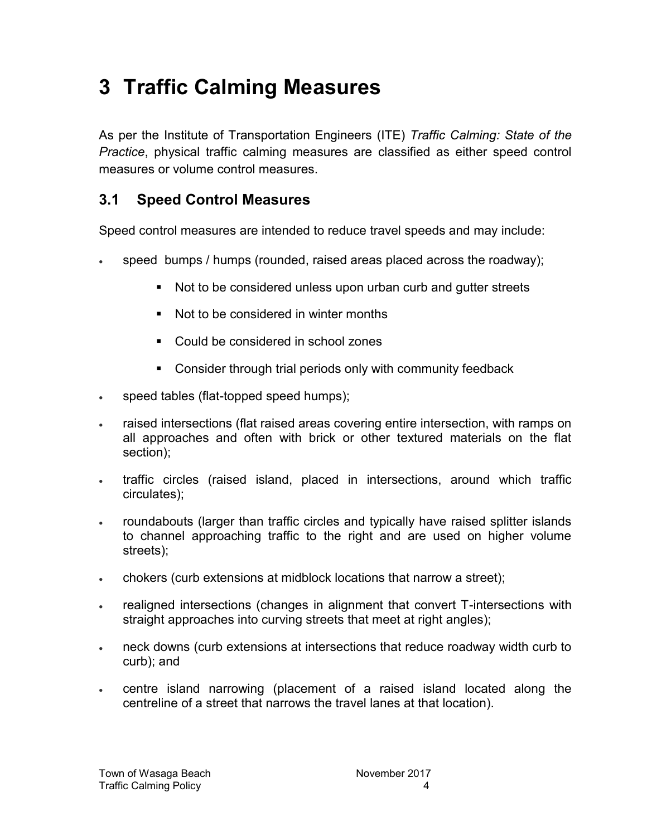## **3 Traffic Calming Measures**

As per the Institute of Transportation Engineers (ITE) *Traffic Calming: State of the Practice*, physical traffic calming measures are classified as either speed control measures or volume control measures.

### **3.1 Speed Control Measures**

Speed control measures are intended to reduce travel speeds and may include:

- speed bumps / humps (rounded, raised areas placed across the roadway);
	- Not to be considered unless upon urban curb and gutter streets
	- Not to be considered in winter months
	- Could be considered in school zones
	- Consider through trial periods only with community feedback
- . speed tables (flat-topped speed humps);
- raised intersections (flat raised areas covering entire intersection, with ramps on all approaches and often with brick or other textured materials on the flat section);
- traffic circles (raised island, placed in intersections, around which traffic circulates);
- roundabouts (larger than traffic circles and typically have raised splitter islands to channel approaching traffic to the right and are used on higher volume streets);
- chokers (curb extensions at midblock locations that narrow a street);
- realigned intersections (changes in alignment that convert T-intersections with straight approaches into curving streets that meet at right angles);
- neck downs (curb extensions at intersections that reduce roadway width curb to curb); and
- centre island narrowing (placement of a raised island located along the centreline of a street that narrows the travel lanes at that location).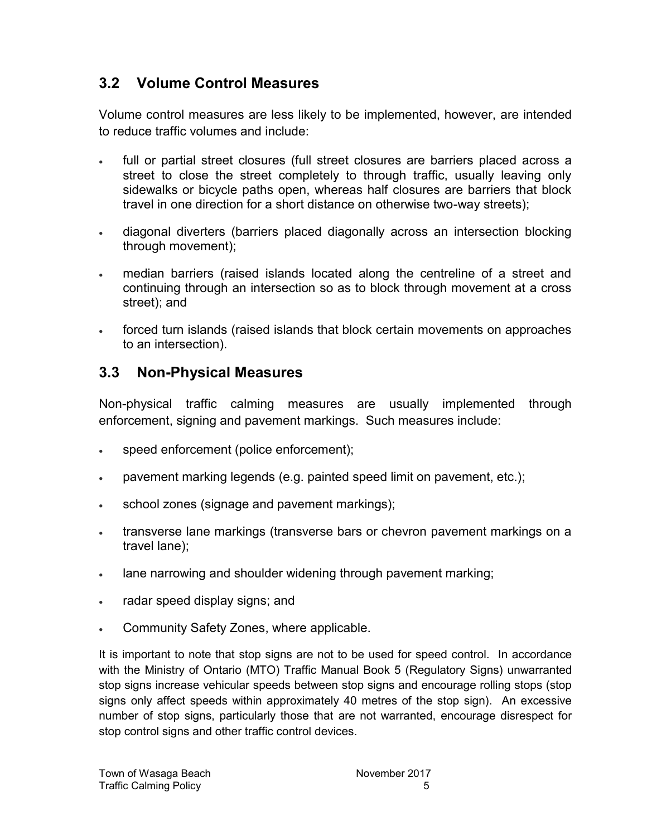### **3.2 Volume Control Measures**

Volume control measures are less likely to be implemented, however, are intended to reduce traffic volumes and include:

- full or partial street closures (full street closures are barriers placed across a street to close the street completely to through traffic, usually leaving only sidewalks or bicycle paths open, whereas half closures are barriers that block travel in one direction for a short distance on otherwise two-way streets);
- diagonal diverters (barriers placed diagonally across an intersection blocking through movement);
- median barriers (raised islands located along the centreline of a street and continuing through an intersection so as to block through movement at a cross street); and
- forced turn islands (raised islands that block certain movements on approaches to an intersection).

#### **3.3 Non-Physical Measures**

Non-physical traffic calming measures are usually implemented through enforcement, signing and pavement markings. Such measures include:

- speed enforcement (police enforcement);
- pavement marking legends (e.g. painted speed limit on pavement, etc.);
- school zones (signage and pavement markings);
- transverse lane markings (transverse bars or chevron pavement markings on a travel lane);
- lane narrowing and shoulder widening through pavement marking;
- radar speed display signs; and
- Community Safety Zones, where applicable.

It is important to note that stop signs are not to be used for speed control. In accordance with the Ministry of Ontario (MTO) Traffic Manual Book 5 (Regulatory Signs) unwarranted stop signs increase vehicular speeds between stop signs and encourage rolling stops (stop signs only affect speeds within approximately 40 metres of the stop sign). An excessive number of stop signs, particularly those that are not warranted, encourage disrespect for stop control signs and other traffic control devices.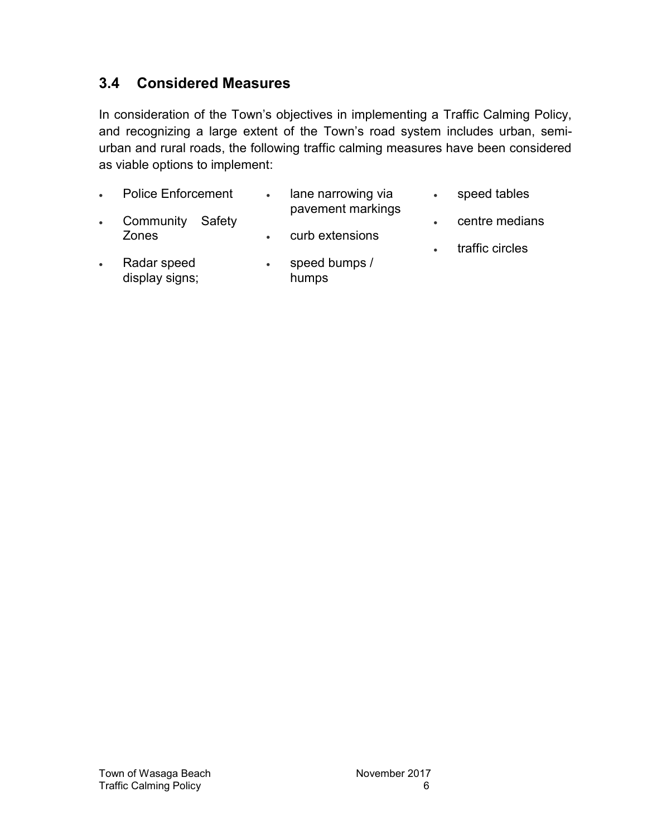#### <span id="page-9-0"></span>**3.4 Considered Measures**

In consideration of the Town's objectives in implementing a Traffic Calming Policy, and recognizing a large extent of the Town's road system includes urban, semiurban and rural roads, the following traffic calming measures have been considered as viable options to implement:

|           | <b>Police Enforcement</b>     | $\bullet$ | lane narrowing via<br>pavement markings | speed tables    |
|-----------|-------------------------------|-----------|-----------------------------------------|-----------------|
| $\bullet$ | Community<br>Safety<br>Zones  |           | curb extensions                         | centre medians  |
| $\bullet$ | Radar speed<br>display signs; | $\bullet$ | speed bumps /<br>humps                  | traffic circles |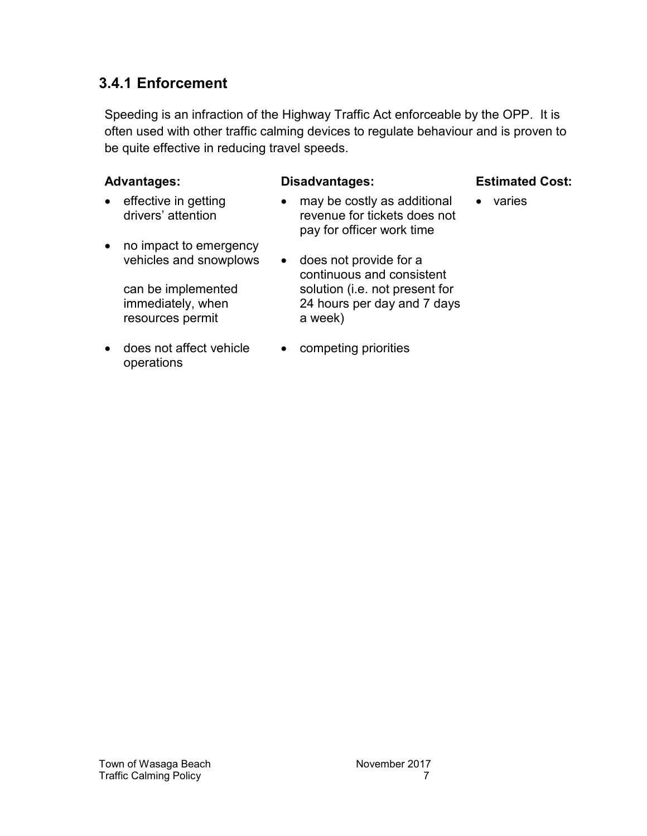#### **3.4.1 Enforcement**

Speeding is an infraction of the Highway Traffic Act enforceable by the OPP. It is often used with other traffic calming devices to regulate behaviour and is proven to be quite effective in reducing travel speeds.

#### **Advantages: Disadvantages: Estimated Cost:**

- effective in getting drivers' attention • no impact to emergency vehicles and snowplows can be implemented immediately, when resources permit • may be costly as additional revenue for tickets does not pay for officer work time does not provide for a continuous and consistent solution (i.e. not present for 24 hours per day and 7 days a week) • varies
- does not affect vehicle operations
- competing priorities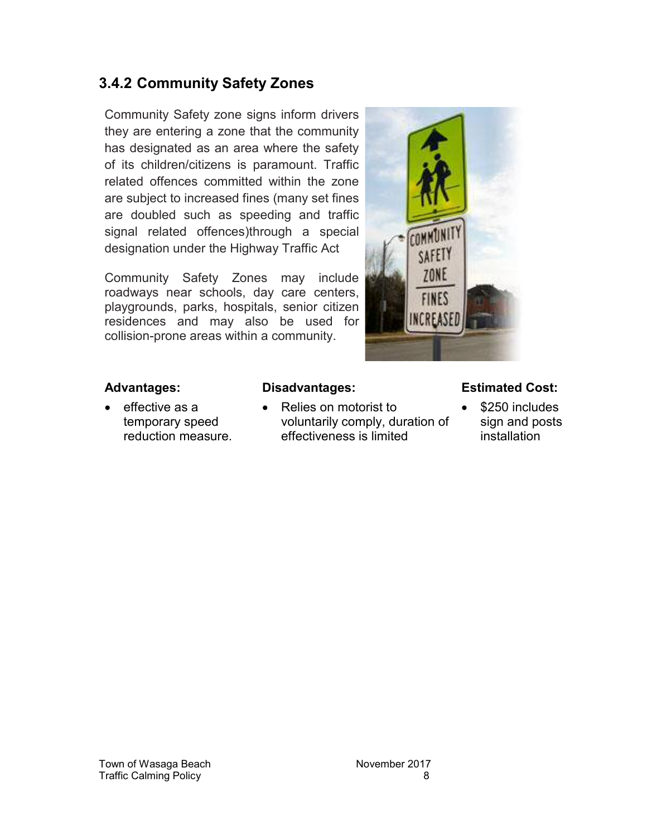#### **3.4.2 Community Safety Zones**

Community Safety zone signs inform drivers they are entering a zone that the community has designated as an area where the safety of its children/citizens is paramount. Traffic related offences committed within the zone are subject to increased fines (many set fines are doubled such as speeding and traffic signal related offences)through a special designation under the Highway Traffic Act

Community Safety Zones may include roadways near schools, day care centers, playgrounds, parks, hospitals, senior citizen residences and may also be used for collision-prone areas within a community.



 $\bullet$  effective as a temporary speed reduction measure.

 Relies on motorist to voluntarily comply, duration of effectiveness is limited

#### **Advantages: Disadvantages: Estimated Cost:**

 \$250 includes sign and posts installation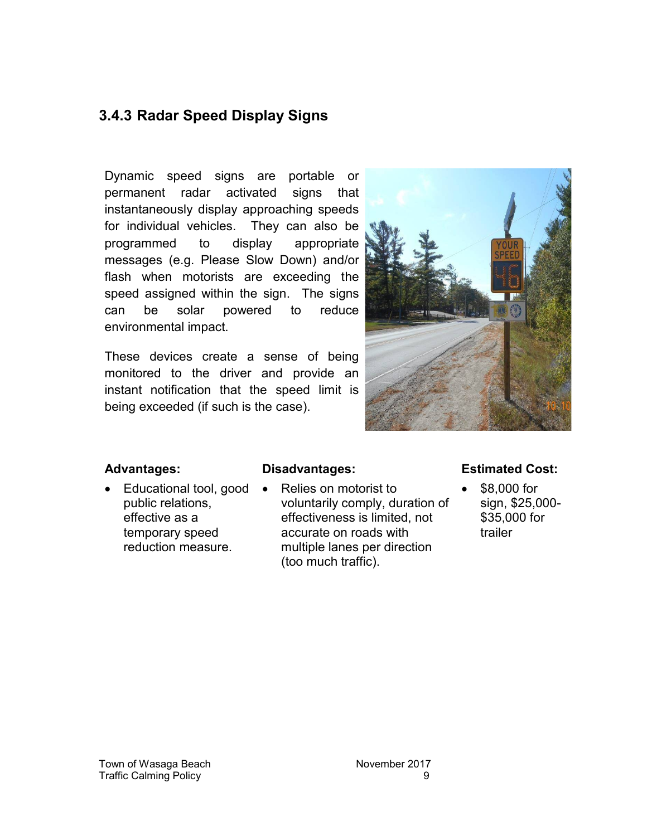#### **3.4.3 Radar Speed Display Signs**

Dynamic speed signs are portable or permanent radar activated signs that instantaneously display approaching speeds for individual vehicles. They can also be programmed to display appropriate messages (e.g. Please Slow Down) and/or flash when motorists are exceeding the speed assigned within the sign. The signs can be solar powered to reduce environmental impact.

These devices create a sense of being monitored to the driver and provide an instant notification that the speed limit is being exceeded (if such is the case).



 $\bullet$  Educational tool, good  $\bullet$ public relations, effective as a temporary speed reduction measure.

 Relies on motorist to voluntarily comply, duration of effectiveness is limited, not accurate on roads with multiple lanes per direction (too much traffic).

#### **Advantages: Disadvantages: Estimated Cost:**

 \$8,000 for sign, \$25,000- \$35,000 for trailer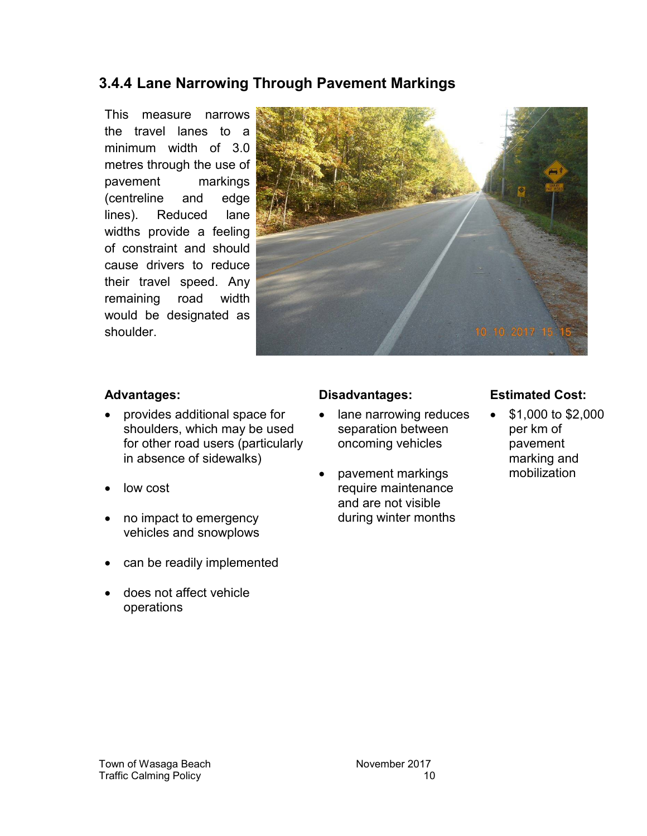#### **3.4.4 Lane Narrowing Through Pavement Markings**

This measure narrows the travel lanes to a minimum width of 3.0 metres through the use of pavement markings (centreline and edge lines). Reduced lane widths provide a feeling of constraint and should cause drivers to reduce their travel speed. Any remaining road width would be designated as shoulder.



- provides additional space for shoulders, which may be used for other road users (particularly in absence of sidewalks)
- low cost
- no impact to emergency vehicles and snowplows
- can be readily implemented
- does not affect vehicle operations

- lane narrowing reduces separation between oncoming vehicles
- pavement markings require maintenance and are not visible during winter months

#### **Advantages: Disadvantages: Estimated Cost:**

 \$1,000 to \$2,000 per km of pavement marking and mobilization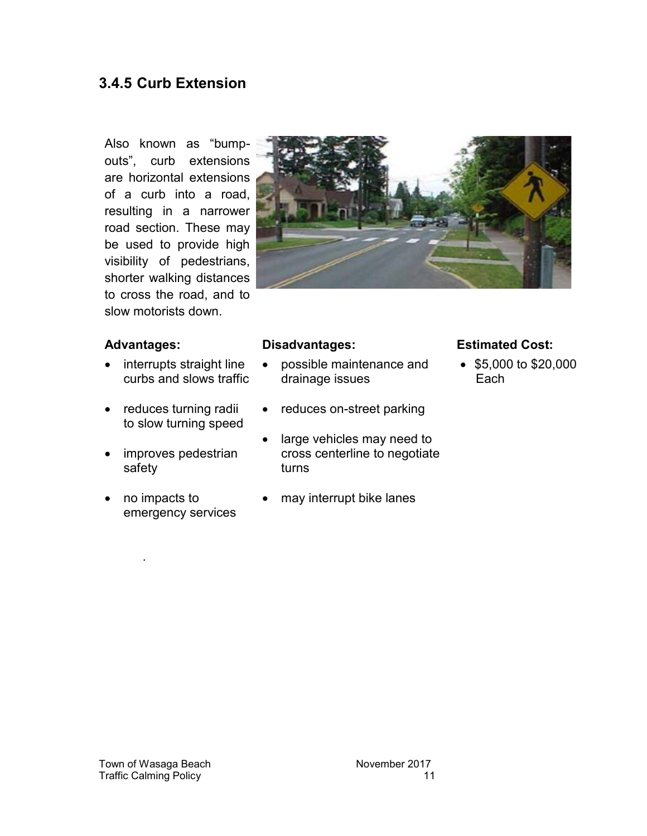#### **3.4.5 Curb Extension**

Also known as "bumpouts", curb extensions are horizontal extensions of a curb into a road, resulting in a narrower road section. These may be used to provide high visibility of pedestrians, shorter walking distances to cross the road, and to slow motorists down.



- interrupts straight line curbs and slows traffic
- reduces turning radii to slow turning speed
- improves pedestrian safety
- no impacts to emergency services

.

- possible maintenance and drainage issues
- reduces on-street parking
- large vehicles may need to cross centerline to negotiate turns
- may interrupt bike lanes

#### **Advantages: Disadvantages: Estimated Cost:**

 $\bullet$  \$5,000 to \$20,000 Each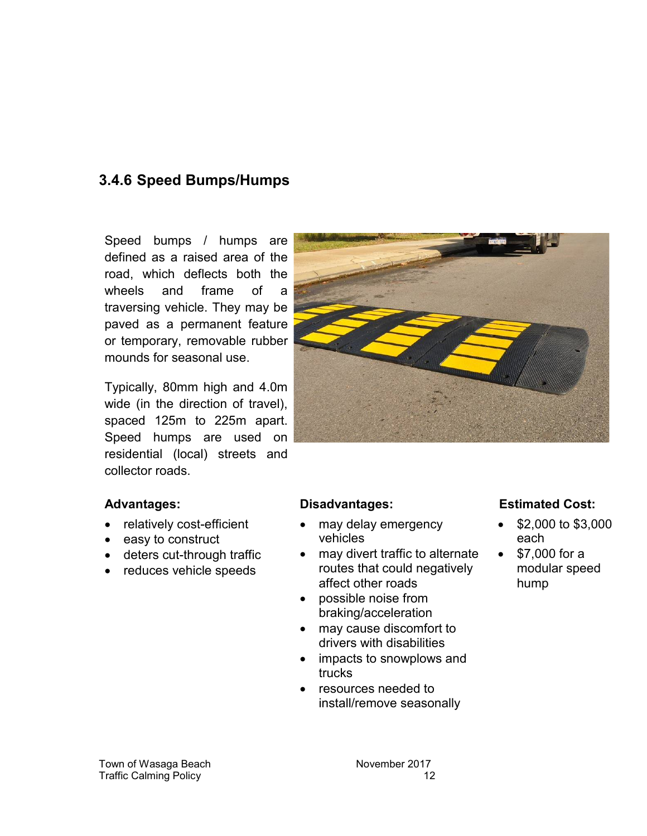#### **3.4.6 Speed Bumps/Humps**

Speed bumps / humps are defined as a raised area of the road, which deflects both the wheels and frame of a traversing vehicle. They may be paved as a permanent feature or temporary, removable rubber mounds for seasonal use.

Typically, 80mm high and 4.0m wide (in the direction of travel), spaced 125m to 225m apart. Speed humps are used on residential (local) streets and collector roads.

- relatively cost-efficient
- easy to construct
- deters cut-through traffic
- reduces vehicle speeds

- may delay emergency vehicles
- may divert traffic to alternate routes that could negatively affect other roads
- possible noise from braking/acceleration
- may cause discomfort to drivers with disabilities
- impacts to snowplows and trucks
- resources needed to install/remove seasonally

#### **Advantages: Disadvantages: Estimated Cost:**

- \$2,000 to \$3,000 each
- \$7,000 for a modular speed hump

Town of Wasaga Beach November 2017 Traffic Calming Policy 12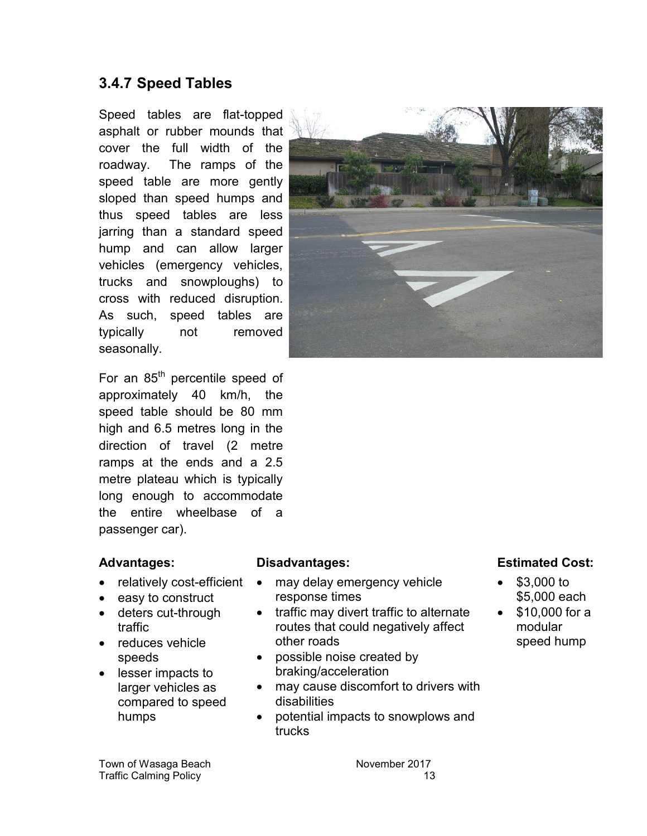#### **3.4.7 Speed Tables**

Speed tables are flat-topped asphalt or rubber mounds that cover the full width of the roadway. The ramps of the speed table are more gently sloped than speed humps and thus speed tables are less jarring than a standard speed hump and can allow larger vehicles (emergency vehicles, trucks and snowploughs) to cross with reduced disruption. As such, speed tables are typically not removed seasonally.

For an 85<sup>th</sup> percentile speed of approximately 40 km/h, the speed table should be 80 mm high and 6.5 metres long in the direction of travel (2 metre ramps at the ends and a 2.5 metre plateau which is typically long enough to accommodate the entire wheelbase of a passenger car).

- relatively cost-efficient
- easy to construct
- deters cut-through traffic
- reduces vehicle speeds
- lesser impacts to larger vehicles as compared to speed humps

- may delay emergency vehicle response times
- traffic may divert traffic to alternate routes that could negatively affect other roads
- possible noise created by braking/acceleration
- may cause discomfort to drivers with disabilities
- potential impacts to snowplows and trucks

#### **Advantages: Disadvantages: Estimated Cost:**

- \$3,000 to \$5,000 each
- $\bullet$  \$10,000 for a modular speed hump

Town of Wasaga Beach November 2017 Traffic Calming Policy 13

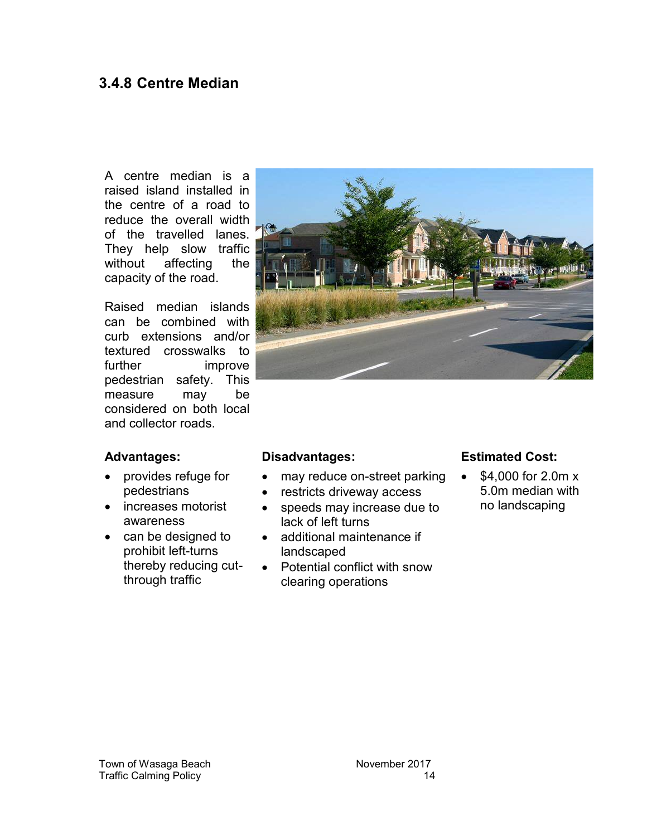#### **3.4.8 Centre Median**

A centre median is a raised island installed in the centre of a road to reduce the overall width of the travelled lanes. They help slow traffic without affecting the capacity of the road.

Raised median islands can be combined with curb extensions and/or textured crosswalks to further improve pedestrian safety. This measure may be considered on both local and collector roads.

- provides refuge for pedestrians
- increases motorist awareness
- can be designed to prohibit left-turns thereby reducing cutthrough traffic



- may reduce on-street parking
- restricts driveway access
- speeds may increase due to lack of left turns
- additional maintenance if landscaped
- Potential conflict with snow clearing operations

#### **Advantages: Disadvantages: Estimated Cost:**

 \$4,000 for 2.0m x 5.0m median with no landscaping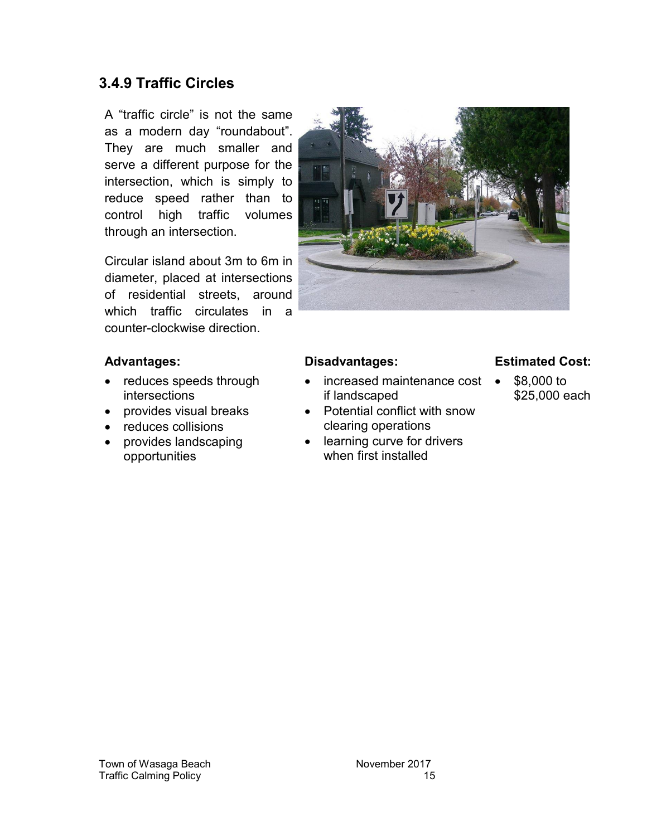#### **3.4.9 Traffic Circles**

A "traffic circle" is not the same as a modern day "roundabout". They are much smaller and serve a different purpose for the intersection, which is simply to reduce speed rather than to control high traffic volumes through an intersection.

Circular island about 3m to 6m in diameter, placed at intersections of residential streets, around which traffic circulates in a counter-clockwise direction.



- reduces speeds through intersections
- provides visual breaks
- reduces collisions
- provides landscaping opportunities

- increased maintenance cost if landscaped
- Potential conflict with snow clearing operations
- learning curve for drivers when first installed

#### **Advantages: Disadvantages: Estimated Cost:**

 \$8,000 to \$25,000 each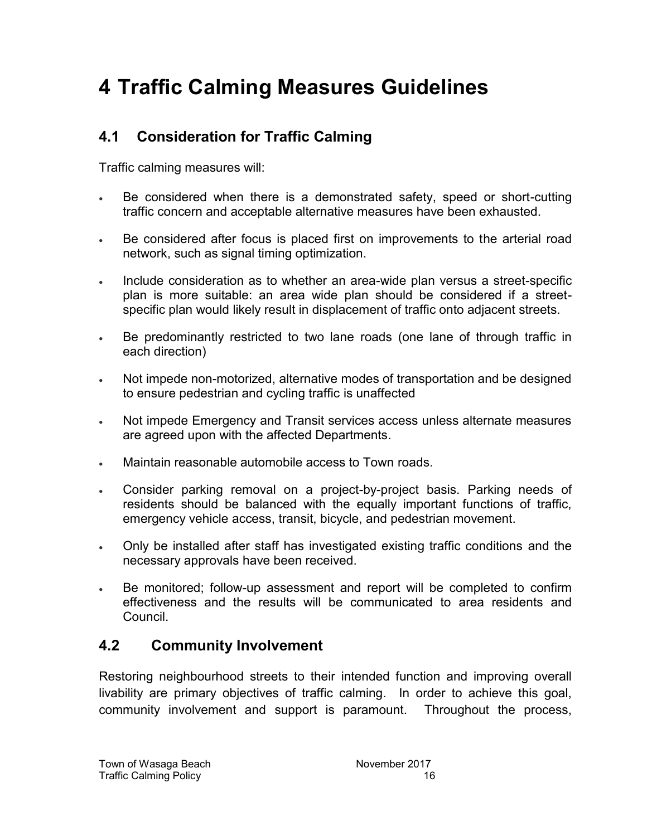## **4 Traffic Calming Measures Guidelines**

#### **4.1 Consideration for Traffic Calming**

Traffic calming measures will:

- Be considered when there is a demonstrated safety, speed or short-cutting traffic concern and acceptable alternative measures have been exhausted.
- Be considered after focus is placed first on improvements to the arterial road network, such as signal timing optimization.
- Include consideration as to whether an area-wide plan versus a street-specific plan is more suitable: an area wide plan should be considered if a streetspecific plan would likely result in displacement of traffic onto adjacent streets.
- Be predominantly restricted to two lane roads (one lane of through traffic in each direction)
- Not impede non-motorized, alternative modes of transportation and be designed to ensure pedestrian and cycling traffic is unaffected
- Not impede Emergency and Transit services access unless alternate measures are agreed upon with the affected Departments.
- Maintain reasonable automobile access to Town roads.
- Consider parking removal on a project-by-project basis. Parking needs of residents should be balanced with the equally important functions of traffic, emergency vehicle access, transit, bicycle, and pedestrian movement.
- Only be installed after staff has investigated existing traffic conditions and the necessary approvals have been received.
- Be monitored; follow-up assessment and report will be completed to confirm effectiveness and the results will be communicated to area residents and Council.

#### **4.2 Community Involvement**

Restoring neighbourhood streets to their intended function and improving overall livability are primary objectives of traffic calming. In order to achieve this goal, community involvement and support is paramount. Throughout the process,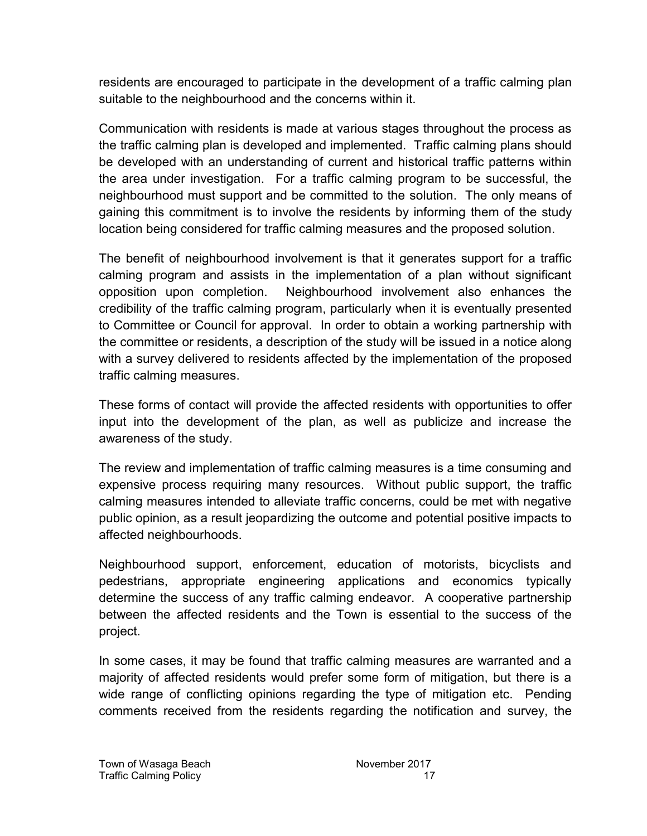residents are encouraged to participate in the development of a traffic calming plan suitable to the neighbourhood and the concerns within it.

Communication with residents is made at various stages throughout the process as the traffic calming plan is developed and implemented. Traffic calming plans should be developed with an understanding of current and historical traffic patterns within the area under investigation. For a traffic calming program to be successful, the neighbourhood must support and be committed to the solution. The only means of gaining this commitment is to involve the residents by informing them of the study location being considered for traffic calming measures and the proposed solution.

The benefit of neighbourhood involvement is that it generates support for a traffic calming program and assists in the implementation of a plan without significant opposition upon completion. Neighbourhood involvement also enhances the credibility of the traffic calming program, particularly when it is eventually presented to Committee or Council for approval. In order to obtain a working partnership with the committee or residents, a description of the study will be issued in a notice along with a survey delivered to residents affected by the implementation of the proposed traffic calming measures.

These forms of contact will provide the affected residents with opportunities to offer input into the development of the plan, as well as publicize and increase the awareness of the study.

The review and implementation of traffic calming measures is a time consuming and expensive process requiring many resources. Without public support, the traffic calming measures intended to alleviate traffic concerns, could be met with negative public opinion, as a result jeopardizing the outcome and potential positive impacts to affected neighbourhoods.

Neighbourhood support, enforcement, education of motorists, bicyclists and pedestrians, appropriate engineering applications and economics typically determine the success of any traffic calming endeavor. A cooperative partnership between the affected residents and the Town is essential to the success of the project.

In some cases, it may be found that traffic calming measures are warranted and a majority of affected residents would prefer some form of mitigation, but there is a wide range of conflicting opinions regarding the type of mitigation etc. Pending comments received from the residents regarding the notification and survey, the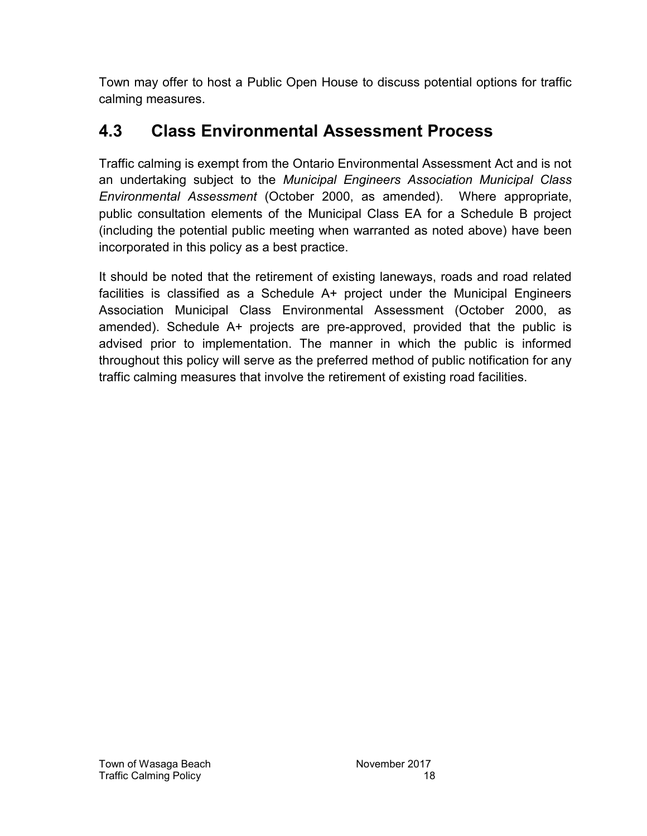Town may offer to host a Public Open House to discuss potential options for traffic calming measures.

### **4.3 Class Environmental Assessment Process**

Traffic calming is exempt from the Ontario Environmental Assessment Act and is not an undertaking subject to the *Municipal Engineers Association Municipal Class Environmental Assessment* (October 2000, as amended). Where appropriate, public consultation elements of the Municipal Class EA for a Schedule B project (including the potential public meeting when warranted as noted above) have been incorporated in this policy as a best practice.

It should be noted that the retirement of existing laneways, roads and road related facilities is classified as a Schedule A+ project under the Municipal Engineers Association Municipal Class Environmental Assessment (October 2000, as amended). Schedule A+ projects are pre-approved, provided that the public is advised prior to implementation. The manner in which the public is informed throughout this policy will serve as the preferred method of public notification for any traffic calming measures that involve the retirement of existing road facilities.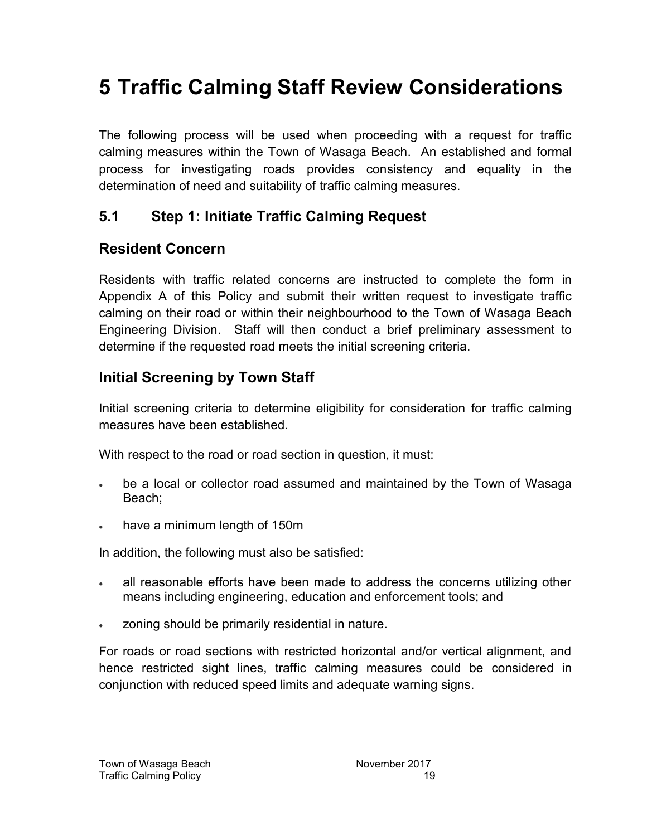## **5 Traffic Calming Staff Review Considerations**

The following process will be used when proceeding with a request for traffic calming measures within the Town of Wasaga Beach. An established and formal process for investigating roads provides consistency and equality in the determination of need and suitability of traffic calming measures.

#### **5.1 Step 1: Initiate Traffic Calming Request**

#### **Resident Concern**

Residents with traffic related concerns are instructed to complete the form in Appendix A of this Policy and submit their written request to investigate traffic calming on their road or within their neighbourhood to the Town of Wasaga Beach Engineering Division. Staff will then conduct a brief preliminary assessment to determine if the requested road meets the initial screening criteria.

#### **Initial Screening by Town Staff**

Initial screening criteria to determine eligibility for consideration for traffic calming measures have been established.

With respect to the road or road section in question, it must:

- be a local or collector road assumed and maintained by the Town of Wasaga Beach;
- have a minimum length of 150m

In addition, the following must also be satisfied:

- all reasonable efforts have been made to address the concerns utilizing other means including engineering, education and enforcement tools; and
- zoning should be primarily residential in nature.

For roads or road sections with restricted horizontal and/or vertical alignment, and hence restricted sight lines, traffic calming measures could be considered in conjunction with reduced speed limits and adequate warning signs.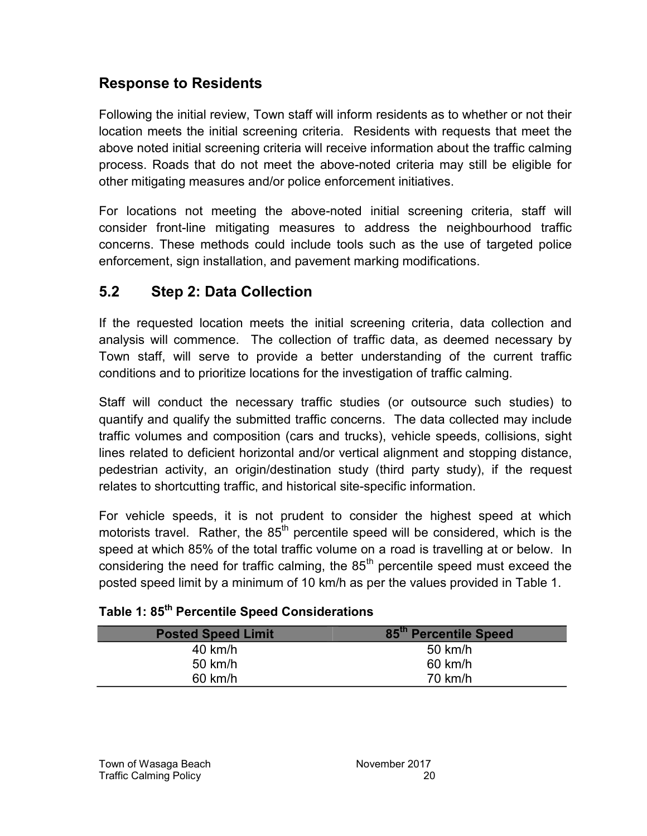#### **Response to Residents**

Following the initial review, Town staff will inform residents as to whether or not their location meets the initial screening criteria. Residents with requests that meet the above noted initial screening criteria will receive information about the traffic calming process. Roads that do not meet the above-noted criteria may still be eligible for other mitigating measures and/or police enforcement initiatives.

For locations not meeting the above-noted initial screening criteria, staff will consider front-line mitigating measures to address the neighbourhood traffic concerns. These methods could include tools such as the use of targeted police enforcement, sign installation, and pavement marking modifications.

#### **5.2 Step 2: Data Collection**

If the requested location meets the initial screening criteria, data collection and analysis will commence. The collection of traffic data, as deemed necessary by Town staff, will serve to provide a better understanding of the current traffic conditions and to prioritize locations for the investigation of traffic calming.

Staff will conduct the necessary traffic studies (or outsource such studies) to quantify and qualify the submitted traffic concerns. The data collected may include traffic volumes and composition (cars and trucks), vehicle speeds, collisions, sight lines related to deficient horizontal and/or vertical alignment and stopping distance, pedestrian activity, an origin/destination study (third party study), if the request relates to shortcutting traffic, and historical site-specific information.

For vehicle speeds, it is not prudent to consider the highest speed at which motorists travel. Rather, the  $85<sup>th</sup>$  percentile speed will be considered, which is the speed at which 85% of the total traffic volume on a road is travelling at or below. In considering the need for traffic calming, the  $85<sup>th</sup>$  percentile speed must exceed the posted speed limit by a minimum of 10 km/h as per the values provided in [Table 1.](#page-23-0)

| <b>Posted Speed Limit</b> | 85th Percentile Speed |
|---------------------------|-----------------------|
| $40$ km/h                 | 50 km/h               |
| 50 km/h                   | 60 km/h               |
| $60$ km/h                 | $70 \text{ km/h}$     |

#### <span id="page-23-0"></span>**Table 1: 85th Percentile Speed Considerations**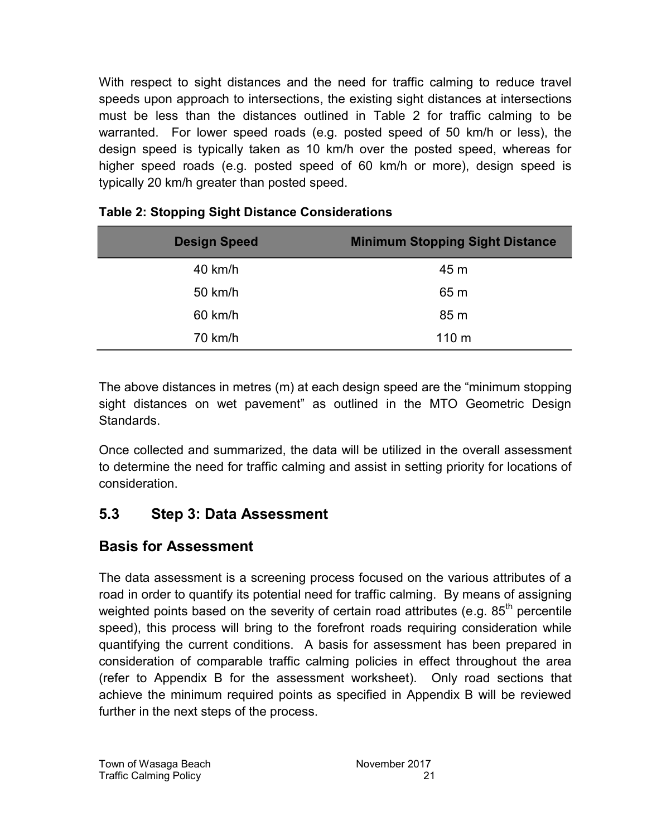With respect to sight distances and the need for traffic calming to reduce travel speeds upon approach to intersections, the existing sight distances at intersections must be less than the distances outlined in [Table 2](#page-24-0) for traffic calming to be warranted. For lower speed roads (e.g. posted speed of 50 km/h or less), the design speed is typically taken as 10 km/h over the posted speed, whereas for higher speed roads (e.g. posted speed of 60 km/h or more), design speed is typically 20 km/h greater than posted speed.

| <b>Design Speed</b> | <b>Minimum Stopping Sight Distance</b> |
|---------------------|----------------------------------------|
| 40 km/h             | 45 m                                   |
| 50 km/h             | 65 m                                   |
| 60 km/h             | 85 m                                   |
| 70 km/h             | 110 <sub>m</sub>                       |

#### <span id="page-24-0"></span>**Table 2: Stopping Sight Distance Considerations**

The above distances in metres (m) at each design speed are the "minimum stopping sight distances on wet pavement" as outlined in the MTO Geometric Design Standards.

Once collected and summarized, the data will be utilized in the overall assessment to determine the need for traffic calming and assist in setting priority for locations of consideration.

#### **5.3 Step 3: Data Assessment**

#### **Basis for Assessment**

The data assessment is a screening process focused on the various attributes of a road in order to quantify its potential need for traffic calming. By means of assigning weighted points based on the severity of certain road attributes (e.g.  $85<sup>th</sup>$  percentile speed), this process will bring to the forefront roads requiring consideration while quantifying the current conditions. A basis for assessment has been prepared in consideration of comparable traffic calming policies in effect throughout the area (refer to Appendix B for the assessment worksheet). Only road sections that achieve the minimum required points as specified in Appendix B will be reviewed further in the next steps of the process.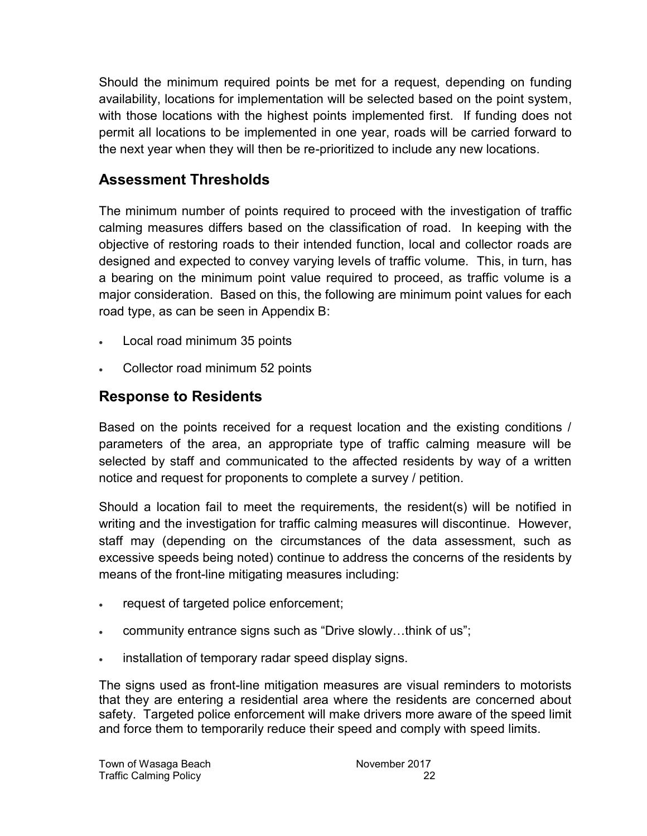Should the minimum required points be met for a request, depending on funding availability, locations for implementation will be selected based on the point system, with those locations with the highest points implemented first. If funding does not permit all locations to be implemented in one year, roads will be carried forward to the next year when they will then be re-prioritized to include any new locations.

#### **Assessment Thresholds**

The minimum number of points required to proceed with the investigation of traffic calming measures differs based on the classification of road. In keeping with the objective of restoring roads to their intended function, local and collector roads are designed and expected to convey varying levels of traffic volume. This, in turn, has a bearing on the minimum point value required to proceed, as traffic volume is a major consideration. Based on this, the following are minimum point values for each road type, as can be seen in Appendix B:

- Local road minimum 35 points
- Collector road minimum 52 points

#### **Response to Residents**

Based on the points received for a request location and the existing conditions / parameters of the area, an appropriate type of traffic calming measure will be selected by staff and communicated to the affected residents by way of a written notice and request for proponents to complete a survey / petition.

Should a location fail to meet the requirements, the resident(s) will be notified in writing and the investigation for traffic calming measures will discontinue. However, staff may (depending on the circumstances of the data assessment, such as excessive speeds being noted) continue to address the concerns of the residents by means of the front-line mitigating measures including:

- request of targeted police enforcement;
- community entrance signs such as "Drive slowly…think of us";
- installation of temporary radar speed display signs.

The signs used as front-line mitigation measures are visual reminders to motorists that they are entering a residential area where the residents are concerned about safety. Targeted police enforcement will make drivers more aware of the speed limit and force them to temporarily reduce their speed and comply with speed limits.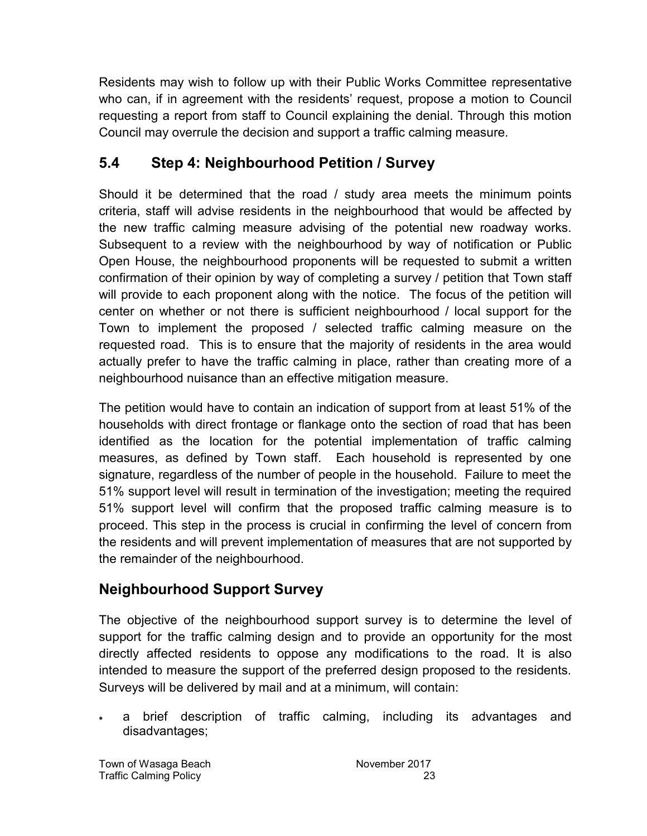Residents may wish to follow up with their Public Works Committee representative who can, if in agreement with the residents' request, propose a motion to Council requesting a report from staff to Council explaining the denial. Through this motion Council may overrule the decision and support a traffic calming measure.

#### **5.4 Step 4: Neighbourhood Petition / Survey**

Should it be determined that the road / study area meets the minimum points criteria, staff will advise residents in the neighbourhood that would be affected by the new traffic calming measure advising of the potential new roadway works. Subsequent to a review with the neighbourhood by way of notification or Public Open House, the neighbourhood proponents will be requested to submit a written confirmation of their opinion by way of completing a survey / petition that Town staff will provide to each proponent along with the notice. The focus of the petition will center on whether or not there is sufficient neighbourhood / local support for the Town to implement the proposed / selected traffic calming measure on the requested road. This is to ensure that the majority of residents in the area would actually prefer to have the traffic calming in place, rather than creating more of a neighbourhood nuisance than an effective mitigation measure.

The petition would have to contain an indication of support from at least 51% of the households with direct frontage or flankage onto the section of road that has been identified as the location for the potential implementation of traffic calming measures, as defined by Town staff. Each household is represented by one signature, regardless of the number of people in the household. Failure to meet the 51% support level will result in termination of the investigation; meeting the required 51% support level will confirm that the proposed traffic calming measure is to proceed. This step in the process is crucial in confirming the level of concern from the residents and will prevent implementation of measures that are not supported by the remainder of the neighbourhood.

#### **Neighbourhood Support Survey**

The objective of the neighbourhood support survey is to determine the level of support for the traffic calming design and to provide an opportunity for the most directly affected residents to oppose any modifications to the road. It is also intended to measure the support of the preferred design proposed to the residents. Surveys will be delivered by mail and at a minimum, will contain:

 a brief description of traffic calming, including its advantages and disadvantages;

Town of Wasaga Beach November 2017 Traffic Calming Policy 23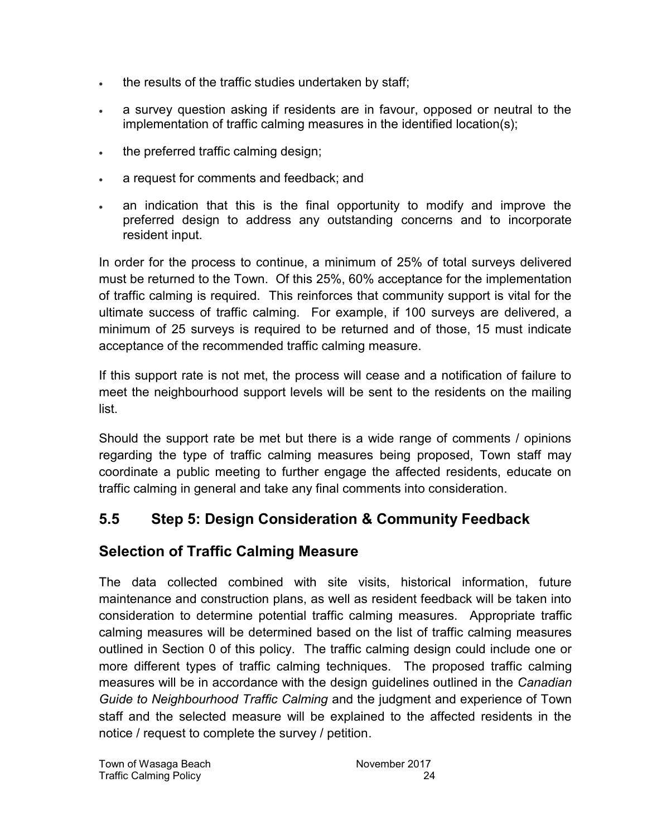- . the results of the traffic studies undertaken by staff;
- a survey question asking if residents are in favour, opposed or neutral to the implementation of traffic calming measures in the identified location(s);
- . the preferred traffic calming design;
- a request for comments and feedback; and
- an indication that this is the final opportunity to modify and improve the preferred design to address any outstanding concerns and to incorporate resident input.

In order for the process to continue, a minimum of 25% of total surveys delivered must be returned to the Town. Of this 25%, 60% acceptance for the implementation of traffic calming is required. This reinforces that community support is vital for the ultimate success of traffic calming. For example, if 100 surveys are delivered, a minimum of 25 surveys is required to be returned and of those, 15 must indicate acceptance of the recommended traffic calming measure.

If this support rate is not met, the process will cease and a notification of failure to meet the neighbourhood support levels will be sent to the residents on the mailing list.

Should the support rate be met but there is a wide range of comments / opinions regarding the type of traffic calming measures being proposed, Town staff may coordinate a public meeting to further engage the affected residents, educate on traffic calming in general and take any final comments into consideration.

### **5.5 Step 5: Design Consideration & Community Feedback**

#### **Selection of Traffic Calming Measure**

The data collected combined with site visits, historical information, future maintenance and construction plans, as well as resident feedback will be taken into consideration to determine potential traffic calming measures. Appropriate traffic calming measures will be determined based on the list of traffic calming measures outlined in Section [0](#page-9-0) of this policy. The traffic calming design could include one or more different types of traffic calming techniques. The proposed traffic calming measures will be in accordance with the design guidelines outlined in the *Canadian Guide to Neighbourhood Traffic Calming* and the judgment and experience of Town staff and the selected measure will be explained to the affected residents in the notice / request to complete the survey / petition.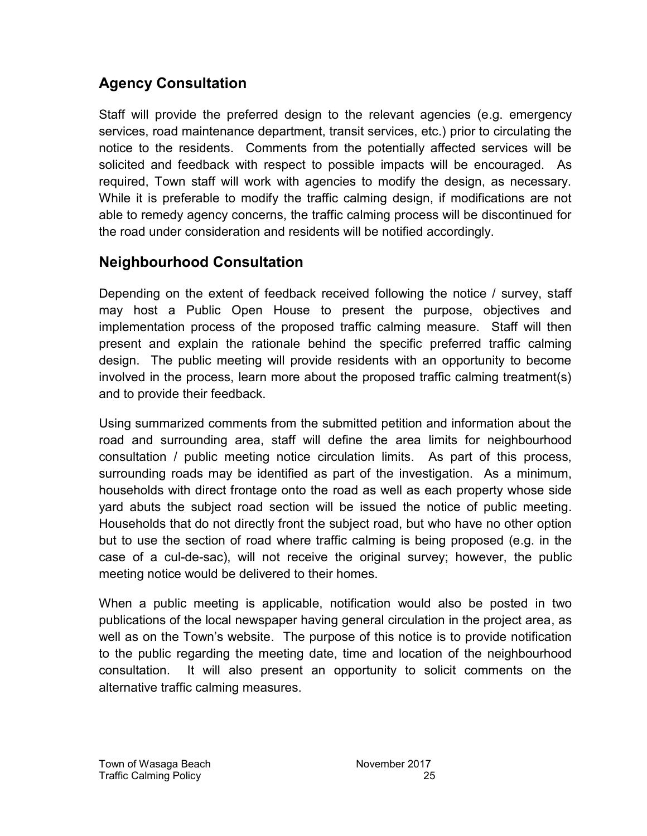### **Agency Consultation**

Staff will provide the preferred design to the relevant agencies (e.g. emergency services, road maintenance department, transit services, etc.) prior to circulating the notice to the residents. Comments from the potentially affected services will be solicited and feedback with respect to possible impacts will be encouraged. As required, Town staff will work with agencies to modify the design, as necessary. While it is preferable to modify the traffic calming design, if modifications are not able to remedy agency concerns, the traffic calming process will be discontinued for the road under consideration and residents will be notified accordingly.

#### **Neighbourhood Consultation**

Depending on the extent of feedback received following the notice / survey, staff may host a Public Open House to present the purpose, objectives and implementation process of the proposed traffic calming measure. Staff will then present and explain the rationale behind the specific preferred traffic calming design. The public meeting will provide residents with an opportunity to become involved in the process, learn more about the proposed traffic calming treatment(s) and to provide their feedback.

Using summarized comments from the submitted petition and information about the road and surrounding area, staff will define the area limits for neighbourhood consultation / public meeting notice circulation limits. As part of this process, surrounding roads may be identified as part of the investigation. As a minimum, households with direct frontage onto the road as well as each property whose side yard abuts the subject road section will be issued the notice of public meeting. Households that do not directly front the subject road, but who have no other option but to use the section of road where traffic calming is being proposed (e.g. in the case of a cul-de-sac), will not receive the original survey; however, the public meeting notice would be delivered to their homes.

When a public meeting is applicable, notification would also be posted in two publications of the local newspaper having general circulation in the project area, as well as on the Town's website. The purpose of this notice is to provide notification to the public regarding the meeting date, time and location of the neighbourhood consultation. It will also present an opportunity to solicit comments on the alternative traffic calming measures.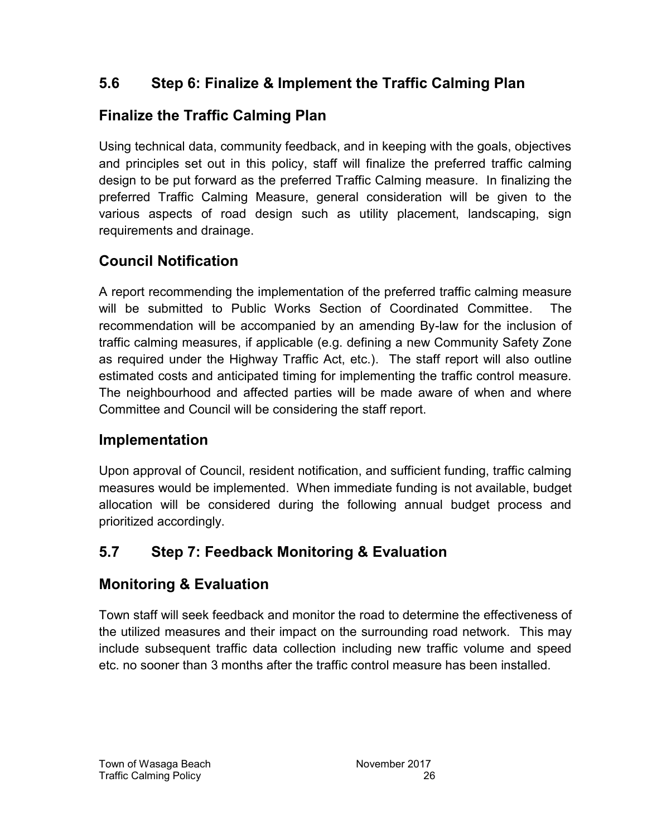### **5.6 Step 6: Finalize & Implement the Traffic Calming Plan**

### **Finalize the Traffic Calming Plan**

Using technical data, community feedback, and in keeping with the goals, objectives and principles set out in this policy, staff will finalize the preferred traffic calming design to be put forward as the preferred Traffic Calming measure. In finalizing the preferred Traffic Calming Measure, general consideration will be given to the various aspects of road design such as utility placement, landscaping, sign requirements and drainage.

### **Council Notification**

A report recommending the implementation of the preferred traffic calming measure will be submitted to Public Works Section of Coordinated Committee. The recommendation will be accompanied by an amending By-law for the inclusion of traffic calming measures, if applicable (e.g. defining a new Community Safety Zone as required under the Highway Traffic Act, etc.). The staff report will also outline estimated costs and anticipated timing for implementing the traffic control measure. The neighbourhood and affected parties will be made aware of when and where Committee and Council will be considering the staff report.

### **Implementation**

Upon approval of Council, resident notification, and sufficient funding, traffic calming measures would be implemented. When immediate funding is not available, budget allocation will be considered during the following annual budget process and prioritized accordingly.

### **5.7 Step 7: Feedback Monitoring & Evaluation**

### **Monitoring & Evaluation**

Town staff will seek feedback and monitor the road to determine the effectiveness of the utilized measures and their impact on the surrounding road network. This may include subsequent traffic data collection including new traffic volume and speed etc. no sooner than 3 months after the traffic control measure has been installed.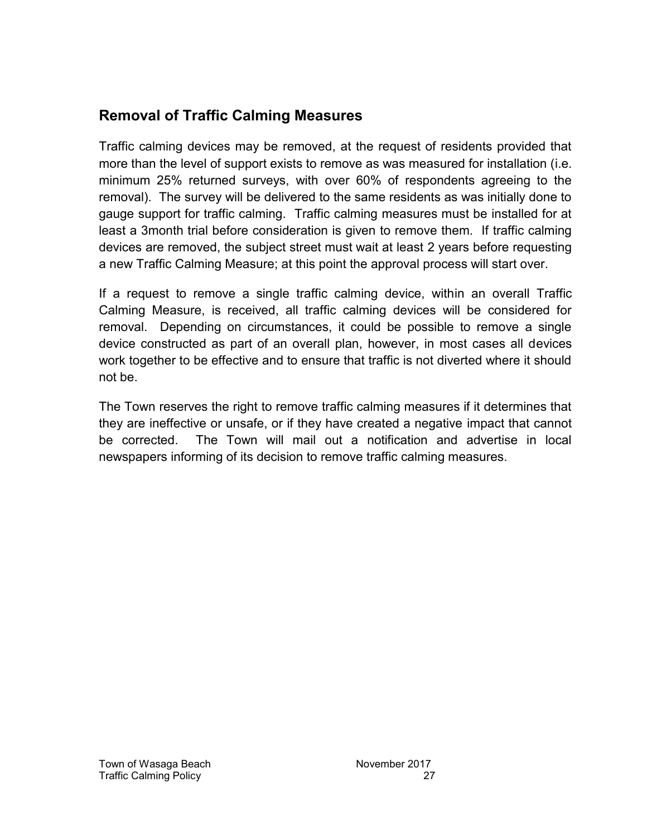#### **Removal of Traffic Calming Measures**

Traffic calming devices may be removed, at the request of residents provided that more than the level of support exists to remove as was measured for installation (i.e. minimum 25% returned surveys, with over 60% of respondents agreeing to the removal). The survey will be delivered to the same residents as was initially done to gauge support for traffic calming. Traffic calming measures must be installed for at least a 3month trial before consideration is given to remove them. If traffic calming devices are removed, the subject street must wait at least 2 years before requesting a new Traffic Calming Measure; at this point the approval process will start over.

If a request to remove a single traffic calming device, within an overall Traffic Calming Measure, is received, all traffic calming devices will be considered for removal. Depending on circumstances, it could be possible to remove a single device constructed as part of an overall plan, however, in most cases all devices work together to be effective and to ensure that traffic is not diverted where it should not be.

The Town reserves the right to remove traffic calming measures if it determines that they are ineffective or unsafe, or if they have created a negative impact that cannot be corrected. The Town will mail out a notification and advertise in local newspapers informing of its decision to remove traffic calming measures.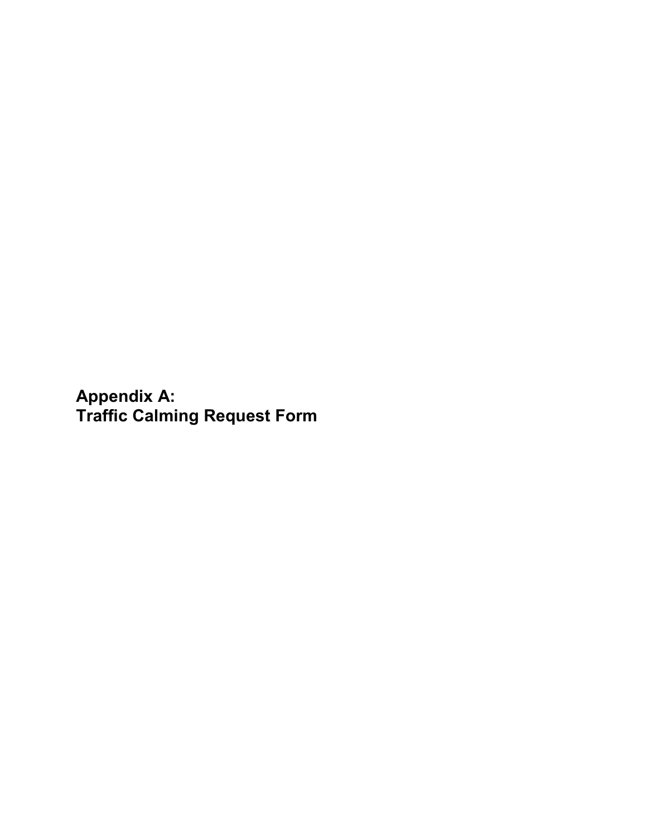<span id="page-31-0"></span>**Appendix A: Traffic Calming Request Form**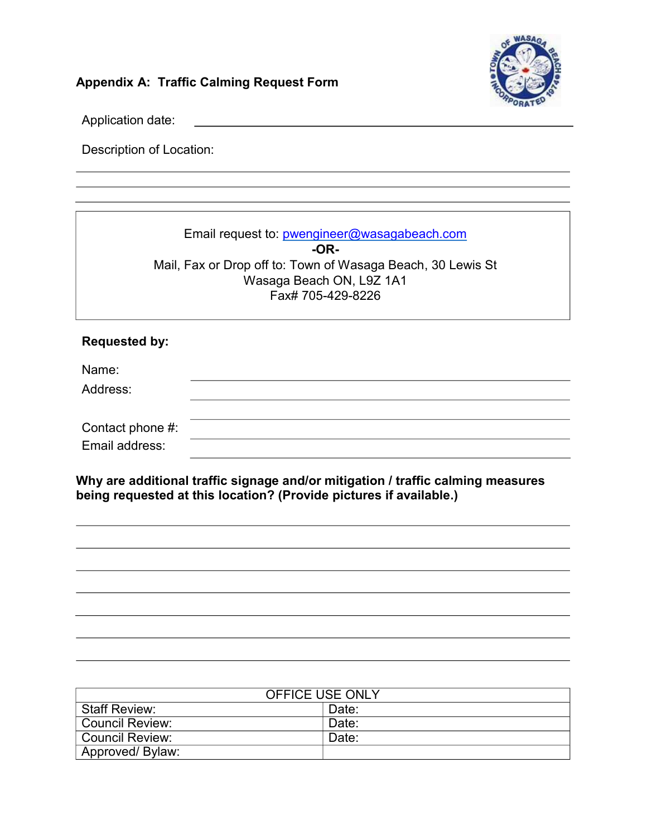

### **Appendix A: Traffic Calming Request Form**

Application date:

Description of Location:

| Email request to: pwengineer@wasagabeach.com<br>$-OR-$<br>Mail, Fax or Drop off to: Town of Wasaga Beach, 30 Lewis St<br>Wasaga Beach ON, L9Z 1A1<br>Fax# 705-429-8226 |  |
|------------------------------------------------------------------------------------------------------------------------------------------------------------------------|--|
| <b>Requested by:</b>                                                                                                                                                   |  |
| Name:                                                                                                                                                                  |  |
| Address:                                                                                                                                                               |  |
| Contact phone $#$ :                                                                                                                                                    |  |
| Email address:                                                                                                                                                         |  |
| Why are additional traffic signage and/or mitigation / traffic calming measures<br>being requested at this location? (Provide pictures if available.)                  |  |

| <b>OFFICE USE ONLY</b> |       |  |  |
|------------------------|-------|--|--|
| <b>Staff Review:</b>   | Date: |  |  |
| <b>Council Review:</b> | Date: |  |  |
| <b>Council Review:</b> | Date: |  |  |
| Approved/ Bylaw:       |       |  |  |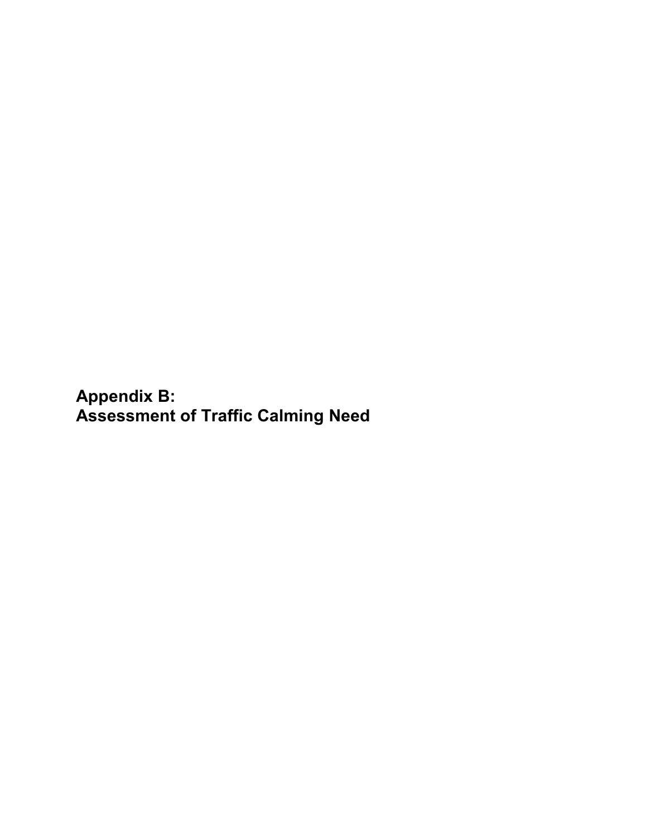**Appendix B: Assessment of Traffic Calming Need**